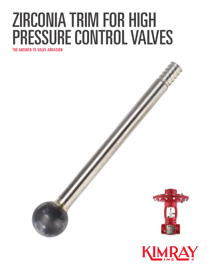# ZIRCONIA TRIM FOR HIGH PRESSURE CONTROL VALVES THE ANSWER TO VALVE ABRASION